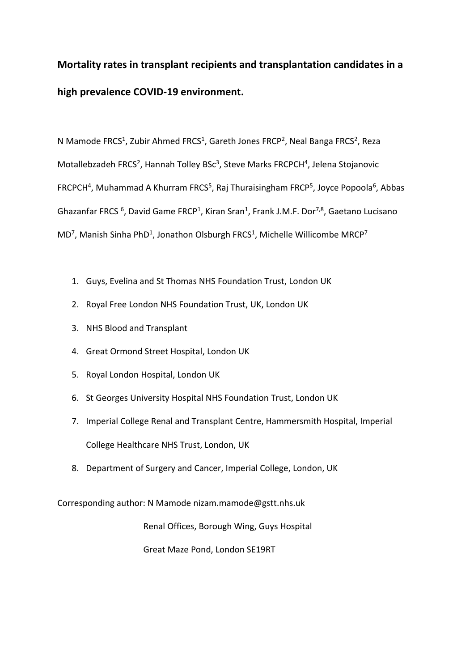# **Mortality rates in transplant recipients and transplantation candidates in a high prevalence COVID-19 environment.**

N Mamode FRCS<sup>1</sup>, Zubir Ahmed FRCS<sup>1</sup>, Gareth Jones FRCP<sup>2</sup>, Neal Banga FRCS<sup>2</sup>, Reza Motallebzadeh FRCS<sup>2</sup>, Hannah Tolley BSc<sup>3</sup>, Steve Marks FRCPCH<sup>4</sup>, Jelena Stojanovic FRCPCH<sup>4</sup>, Muhammad A Khurram FRCS<sup>5</sup>, Raj Thuraisingham FRCP<sup>5</sup>, Joyce Popoola<sup>6</sup>, Abbas Ghazanfar FRCS <sup>6</sup>, David Game FRCP<sup>1</sup>, Kiran Sran<sup>1</sup>, Frank J.M.F. Dor<sup>7,8</sup>, Gaetano Lucisano  $MD<sup>7</sup>$ , Manish Sinha PhD<sup>1</sup>, Jonathon Olsburgh FRCS<sup>1</sup>, Michelle Willicombe MRCP<sup>7</sup>

- 1. Guys, Evelina and St Thomas NHS Foundation Trust, London UK
- 2. Royal Free London NHS Foundation Trust, UK, London UK
- 3. NHS Blood and Transplant
- 4. Great Ormond Street Hospital, London UK
- 5. Royal London Hospital, London UK
- 6. St Georges University Hospital NHS Foundation Trust, London UK
- 7. Imperial College Renal and Transplant Centre, Hammersmith Hospital, Imperial College Healthcare NHS Trust, London, UK
- 8. Department of Surgery and Cancer, Imperial College, London, UK

Corresponding author: N Mamode nizam.mamode@gstt.nhs.uk

Renal Offices, Borough Wing, Guys Hospital

Great Maze Pond, London SE19RT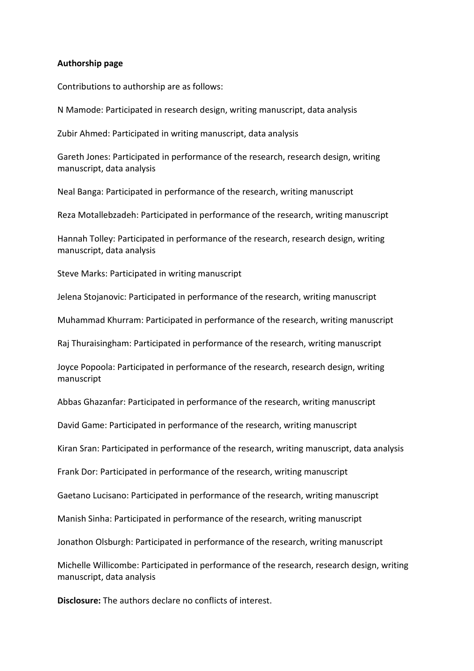# **Authorship page**

Contributions to authorship are as follows:

N Mamode: Participated in research design, writing manuscript, data analysis

Zubir Ahmed: Participated in writing manuscript, data analysis

Gareth Jones: Participated in performance of the research, research design, writing manuscript, data analysis

Neal Banga: Participated in performance of the research, writing manuscript

Reza Motallebzadeh: Participated in performance of the research, writing manuscript

Hannah Tolley: Participated in performance of the research, research design, writing manuscript, data analysis

Steve Marks: Participated in writing manuscript

Jelena Stojanovic: Participated in performance of the research, writing manuscript

Muhammad Khurram: Participated in performance of the research, writing manuscript

Raj Thuraisingham: Participated in performance of the research, writing manuscript

Joyce Popoola: Participated in performance of the research, research design, writing manuscript

Abbas Ghazanfar: Participated in performance of the research, writing manuscript

David Game: Participated in performance of the research, writing manuscript

Kiran Sran: Participated in performance of the research, writing manuscript, data analysis

Frank Dor: Participated in performance of the research, writing manuscript

Gaetano Lucisano: Participated in performance of the research, writing manuscript

Manish Sinha: Participated in performance of the research, writing manuscript

Jonathon Olsburgh: Participated in performance of the research, writing manuscript

Michelle Willicombe: Participated in performance of the research, research design, writing manuscript, data analysis

**Disclosure:** The authors declare no conflicts of interest.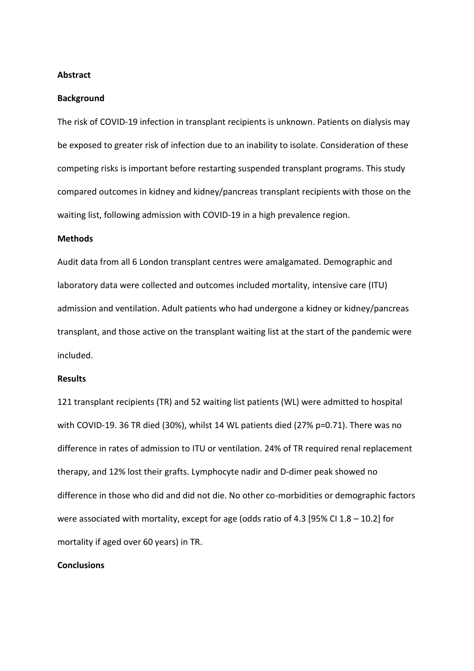#### **Abstract**

#### **Background**

The risk of COVID-19 infection in transplant recipients is unknown. Patients on dialysis may be exposed to greater risk of infection due to an inability to isolate. Consideration of these competing risks is important before restarting suspended transplant programs. This study compared outcomes in kidney and kidney/pancreas transplant recipients with those on the waiting list, following admission with COVID-19 in a high prevalence region.

### **Methods**

Audit data from all 6 London transplant centres were amalgamated. Demographic and laboratory data were collected and outcomes included mortality, intensive care (ITU) admission and ventilation. Adult patients who had undergone a kidney or kidney/pancreas transplant, and those active on the transplant waiting list at the start of the pandemic were included.

#### **Results**

121 transplant recipients (TR) and 52 waiting list patients (WL) were admitted to hospital with COVID-19. 36 TR died (30%), whilst 14 WL patients died (27% p=0.71). There was no difference in rates of admission to ITU or ventilation. 24% of TR required renal replacement therapy, and 12% lost their grafts. Lymphocyte nadir and D-dimer peak showed no difference in those who did and did not die. No other co-morbidities or demographic factors were associated with mortality, except for age (odds ratio of 4.3 [95% CI 1.8 – 10.2] for mortality if aged over 60 years) in TR.

## **Conclusions**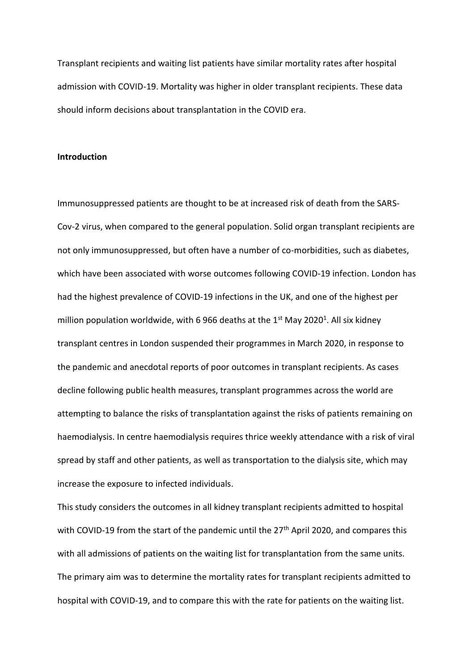Transplant recipients and waiting list patients have similar mortality rates after hospital admission with COVID-19. Mortality was higher in older transplant recipients. These data should inform decisions about transplantation in the COVID era.

#### **Introduction**

Immunosuppressed patients are thought to be at increased risk of death from the SARS-Cov-2 virus, when compared to the general population. Solid organ transplant recipients are not only immunosuppressed, but often have a number of co-morbidities, such as diabetes, which have been associated with worse outcomes following COVID-19 infection. London has had the highest prevalence of COVID-19 infections in the UK, and one of the highest per million population worldwide, with 6 966 deaths at the  $1<sup>st</sup>$  May 2020<sup>1</sup>. All six kidney transplant centres in London suspended their programmes in March 2020, in response to the pandemic and anecdotal reports of poor outcomes in transplant recipients. As cases decline following public health measures, transplant programmes across the world are attempting to balance the risks of transplantation against the risks of patients remaining on haemodialysis. In centre haemodialysis requires thrice weekly attendance with a risk of viral spread by staff and other patients, as well as transportation to the dialysis site, which may increase the exposure to infected individuals.

This study considers the outcomes in all kidney transplant recipients admitted to hospital with COVID-19 from the start of the pandemic until the  $27<sup>th</sup>$  April 2020, and compares this with all admissions of patients on the waiting list for transplantation from the same units. The primary aim was to determine the mortality rates for transplant recipients admitted to hospital with COVID-19, and to compare this with the rate for patients on the waiting list.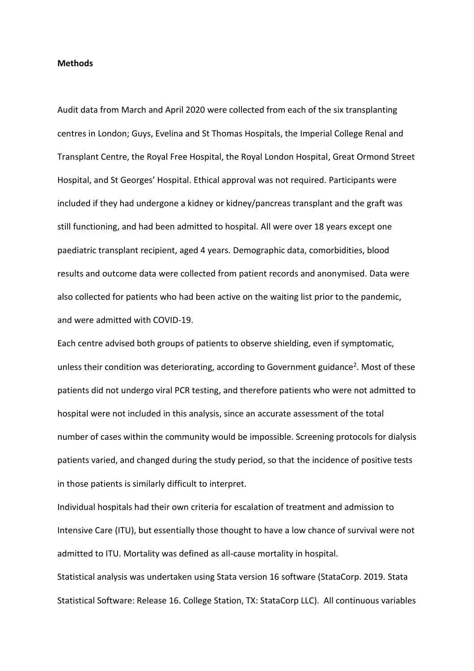#### **Methods**

Audit data from March and April 2020 were collected from each of the six transplanting centres in London; Guys, Evelina and St Thomas Hospitals, the Imperial College Renal and Transplant Centre, the Royal Free Hospital, the Royal London Hospital, Great Ormond Street Hospital, and St Georges' Hospital. Ethical approval was not required. Participants were included if they had undergone a kidney or kidney/pancreas transplant and the graft was still functioning, and had been admitted to hospital. All were over 18 years except one paediatric transplant recipient, aged 4 years. Demographic data, comorbidities, blood results and outcome data were collected from patient records and anonymised. Data were also collected for patients who had been active on the waiting list prior to the pandemic, and were admitted with COVID-19.

Each centre advised both groups of patients to observe shielding, even if symptomatic, unless their condition was deteriorating, according to Government guidance<sup>2</sup>. Most of these patients did not undergo viral PCR testing, and therefore patients who were not admitted to hospital were not included in this analysis, since an accurate assessment of the total number of cases within the community would be impossible. Screening protocols for dialysis patients varied, and changed during the study period, so that the incidence of positive tests in those patients is similarly difficult to interpret.

Individual hospitals had their own criteria for escalation of treatment and admission to Intensive Care (ITU), but essentially those thought to have a low chance of survival were not admitted to ITU. Mortality was defined as all-cause mortality in hospital.

Statistical analysis was undertaken using Stata version 16 software (StataCorp. 2019. Stata Statistical Software: Release 16. College Station, TX: StataCorp LLC). All continuous variables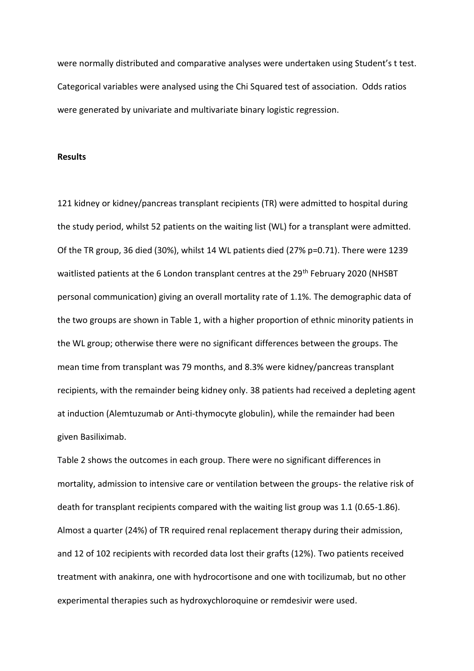were normally distributed and comparative analyses were undertaken using Student's t test. Categorical variables were analysed using the Chi Squared test of association. Odds ratios were generated by univariate and multivariate binary logistic regression.

#### **Results**

121 kidney or kidney/pancreas transplant recipients (TR) were admitted to hospital during the study period, whilst 52 patients on the waiting list (WL) for a transplant were admitted. Of the TR group, 36 died (30%), whilst 14 WL patients died (27% p=0.71). There were 1239 waitlisted patients at the 6 London transplant centres at the 29<sup>th</sup> February 2020 (NHSBT personal communication) giving an overall mortality rate of 1.1%. The demographic data of the two groups are shown in Table 1, with a higher proportion of ethnic minority patients in the WL group; otherwise there were no significant differences between the groups. The mean time from transplant was 79 months, and 8.3% were kidney/pancreas transplant recipients, with the remainder being kidney only. 38 patients had received a depleting agent at induction (Alemtuzumab or Anti-thymocyte globulin), while the remainder had been given Basiliximab.

Table 2 shows the outcomes in each group. There were no significant differences in mortality, admission to intensive care or ventilation between the groups- the relative risk of death for transplant recipients compared with the waiting list group was 1.1 (0.65-1.86). Almost a quarter (24%) of TR required renal replacement therapy during their admission, and 12 of 102 recipients with recorded data lost their grafts (12%). Two patients received treatment with anakinra, one with hydrocortisone and one with tocilizumab, but no other experimental therapies such as hydroxychloroquine or remdesivir were used.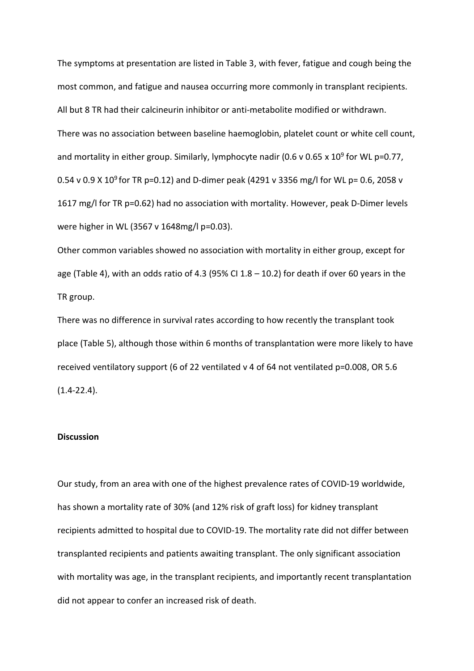The symptoms at presentation are listed in Table 3, with fever, fatigue and cough being the most common, and fatigue and nausea occurring more commonly in transplant recipients. All but 8 TR had their calcineurin inhibitor or anti-metabolite modified or withdrawn. There was no association between baseline haemoglobin, platelet count or white cell count, and mortality in either group. Similarly, lymphocyte nadir (0.6 v 0.65 x 10<sup>9</sup> for WL p=0.77, 0.54 v 0.9 X 10<sup>9</sup> for TR p=0.12) and D-dimer peak (4291 v 3356 mg/l for WL p= 0.6, 2058 v 1617 mg/l for TR p=0.62) had no association with mortality. However, peak D-Dimer levels were higher in WL (3567 v 1648mg/l p=0.03).

Other common variables showed no association with mortality in either group, except for age (Table 4), with an odds ratio of 4.3 (95% CI 1.8  $-$  10.2) for death if over 60 years in the TR group.

There was no difference in survival rates according to how recently the transplant took place (Table 5), although those within 6 months of transplantation were more likely to have received ventilatory support (6 of 22 ventilated v 4 of 64 not ventilated p=0.008, OR 5.6  $(1.4 - 22.4)$ .

# **Discussion**

Our study, from an area with one of the highest prevalence rates of COVID-19 worldwide, has shown a mortality rate of 30% (and 12% risk of graft loss) for kidney transplant recipients admitted to hospital due to COVID-19. The mortality rate did not differ between transplanted recipients and patients awaiting transplant. The only significant association with mortality was age, in the transplant recipients, and importantly recent transplantation did not appear to confer an increased risk of death.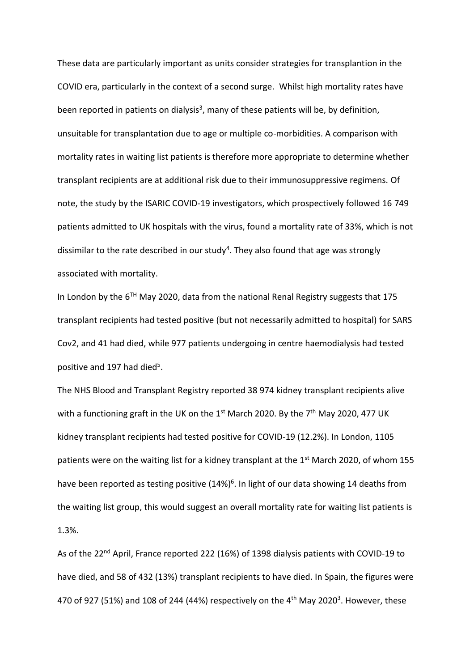These data are particularly important as units consider strategies for transplantion in the COVID era, particularly in the context of a second surge. Whilst high mortality rates have been reported in patients on dialysis<sup>3</sup>, many of these patients will be, by definition, unsuitable for transplantation due to age or multiple co-morbidities. A comparison with mortality rates in waiting list patients is therefore more appropriate to determine whether transplant recipients are at additional risk due to their immunosuppressive regimens. Of note, the study by the ISARIC COVID-19 investigators, which prospectively followed 16 749 patients admitted to UK hospitals with the virus, found a mortality rate of 33%, which is not dissimilar to the rate described in our study<sup>4</sup>. They also found that age was strongly associated with mortality.

In London by the  $6^{TH}$  May 2020, data from the national Renal Registry suggests that 175 transplant recipients had tested positive (but not necessarily admitted to hospital) for SARS Cov2, and 41 had died, while 977 patients undergoing in centre haemodialysis had tested positive and 197 had died<sup>5</sup>.

The NHS Blood and Transplant Registry reported 38 974 kidney transplant recipients alive with a functioning graft in the UK on the  $1<sup>st</sup>$  March 2020. By the  $7<sup>th</sup>$  May 2020, 477 UK kidney transplant recipients had tested positive for COVID-19 (12.2%). In London, 1105 patients were on the waiting list for a kidney transplant at the  $1<sup>st</sup>$  March 2020, of whom 155 have been reported as testing positive (14%)<sup>6</sup>. In light of our data showing 14 deaths from the waiting list group, this would suggest an overall mortality rate for waiting list patients is 1.3%.

As of the 22<sup>nd</sup> April, France reported 222 (16%) of 1398 dialysis patients with COVID-19 to have died, and 58 of 432 (13%) transplant recipients to have died. In Spain, the figures were 470 of 927 (51%) and 108 of 244 (44%) respectively on the 4<sup>th</sup> May 2020<sup>3</sup>. However, these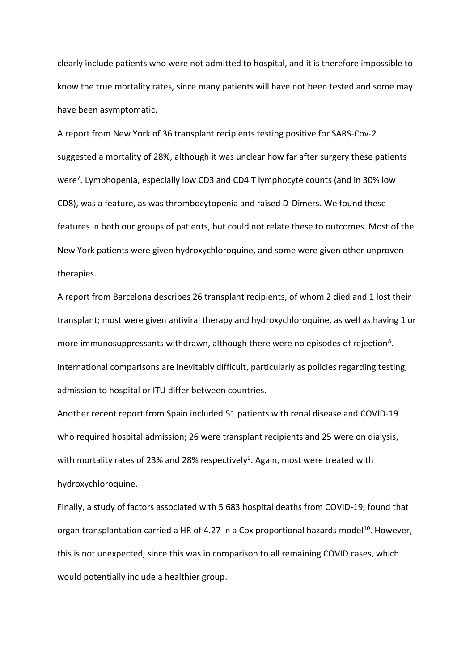clearly include patients who were not admitted to hospital, and it is therefore impossible to know the true mortality rates, since many patients will have not been tested and some may have been asymptomatic.

A report from New York of 36 transplant recipients testing positive for SARS-Cov-2 suggested a mortality of 28%, although it was unclear how far after surgery these patients were<sup>7</sup>. Lymphopenia, especially low CD3 and CD4 T lymphocyte counts (and in 30% low CD8), was a feature, as was thrombocytopenia and raised D-Dimers. We found these features in both our groups of patients, but could not relate these to outcomes. Most of the New York patients were given hydroxychloroquine, and some were given other unproven therapies.

A report from Barcelona describes 26 transplant recipients, of whom 2 died and 1 lost their transplant; most were given antiviral therapy and hydroxychloroquine, as well as having 1 or more immunosuppressants withdrawn, although there were no episodes of rejection<sup>8</sup>. International comparisons are inevitably difficult, particularly as policies regarding testing, admission to hospital or ITU differ between countries.

Another recent report from Spain included 51 patients with renal disease and COVID-19 who required hospital admission; 26 were transplant recipients and 25 were on dialysis, with mortality rates of 23% and 28% respectively<sup>9</sup>. Again, most were treated with hydroxychloroquine.

Finally, a study of factors associated with 5 683 hospital deaths from COVID-19, found that organ transplantation carried a HR of 4.27 in a Cox proportional hazards model<sup>10</sup>. However, this is not unexpected, since this was in comparison to all remaining COVID cases, which would potentially include a healthier group.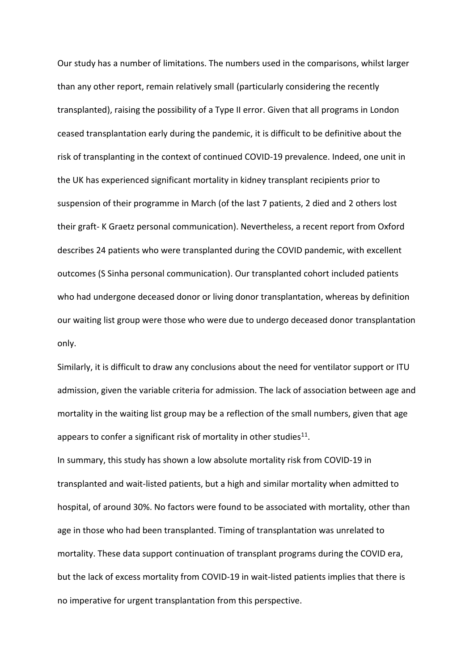Our study has a number of limitations. The numbers used in the comparisons, whilst larger than any other report, remain relatively small (particularly considering the recently transplanted), raising the possibility of a Type II error. Given that all programs in London ceased transplantation early during the pandemic, it is difficult to be definitive about the risk of transplanting in the context of continued COVID-19 prevalence. Indeed, one unit in the UK has experienced significant mortality in kidney transplant recipients prior to suspension of their programme in March (of the last 7 patients, 2 died and 2 others lost their graft- K Graetz personal communication). Nevertheless, a recent report from Oxford describes 24 patients who were transplanted during the COVID pandemic, with excellent outcomes (S Sinha personal communication). Our transplanted cohort included patients who had undergone deceased donor or living donor transplantation, whereas by definition our waiting list group were those who were due to undergo deceased donor transplantation only.

Similarly, it is difficult to draw any conclusions about the need for ventilator support or ITU admission, given the variable criteria for admission. The lack of association between age and mortality in the waiting list group may be a reflection of the small numbers, given that age appears to confer a significant risk of mortality in other studies $^{11}$ .

In summary, this study has shown a low absolute mortality risk from COVID-19 in transplanted and wait-listed patients, but a high and similar mortality when admitted to hospital, of around 30%. No factors were found to be associated with mortality, other than age in those who had been transplanted. Timing of transplantation was unrelated to mortality. These data support continuation of transplant programs during the COVID era, but the lack of excess mortality from COVID-19 in wait-listed patients implies that there is no imperative for urgent transplantation from this perspective.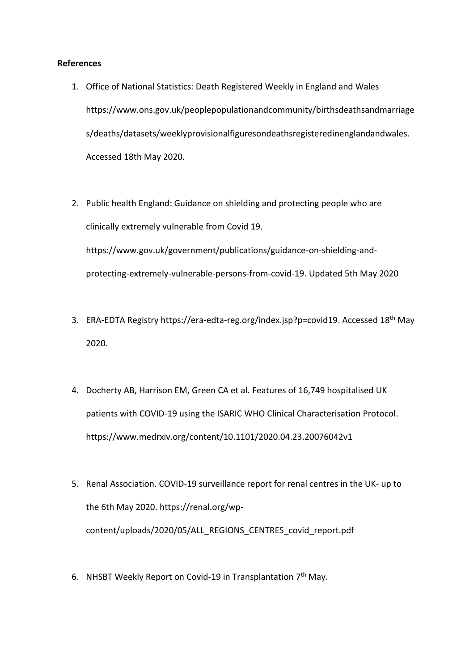# **References**

- 1. Office of National Statistics: Death Registered Weekly in England and Wales https://www.ons.gov.uk/peoplepopulationandcommunity/birthsdeathsandmarriage s/deaths/datasets/weeklyprovisionalfiguresondeathsregisteredinenglandandwales. Accessed 18th May 2020.
- 2. Public health England: Guidance on shielding and protecting people who are clinically extremely vulnerable from Covid 19. https://www.gov.uk/government/publications/guidance-on-shielding-andprotecting-extremely-vulnerable-persons-from-covid-19. Updated 5th May 2020
- 3. ERA-EDTA Registry https://era-edta-reg.org/index.jsp?p=covid19. Accessed 18<sup>th</sup> May 2020.
- 4. Docherty AB, Harrison EM, Green CA et al. Features of 16,749 hospitalised UK patients with COVID-19 using the ISARIC WHO Clinical Characterisation Protocol. https://www.medrxiv.org/content/10.1101/2020.04.23.20076042v1
- 5. Renal Association. COVID-19 surveillance report for renal centres in the UK- up to the 6th May 2020. https://renal.org/wpcontent/uploads/2020/05/ALL\_REGIONS\_CENTRES\_covid\_report.pdf
- 6. NHSBT Weekly Report on Covid-19 in Transplantation  $7<sup>th</sup>$  May.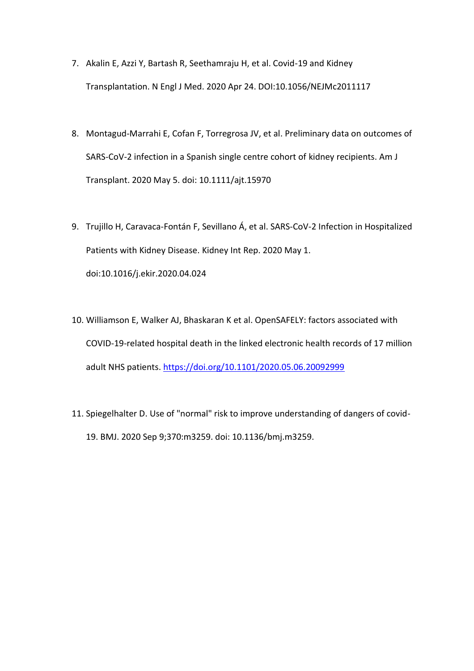- 7. Akalin E, Azzi Y, Bartash R, Seethamraju H, et al. Covid-19 and Kidney Transplantation. N Engl J Med. 2020 Apr 24. DOI:10.1056/NEJMc2011117
- 8. Montagud-Marrahi E, Cofan F, Torregrosa JV, et al. Preliminary data on outcomes of SARS-CoV-2 infection in a Spanish single centre cohort of kidney recipients. Am J Transplant. 2020 May 5. doi: 10.1111/ajt.15970
- 9. Trujillo H, Caravaca-Fontán F, Sevillano Á, et al. SARS-CoV-2 Infection in Hospitalized Patients with Kidney Disease. Kidney Int Rep. 2020 May 1. doi:10.1016/j.ekir.2020.04.024
- 10. Williamson E, Walker AJ, Bhaskaran K et al. OpenSAFELY: factors associated with COVID-19-related hospital death in the linked electronic health records of 17 million adult NHS patients. <https://doi.org/10.1101/2020.05.06.20092999>
- 11. Spiegelhalter D. Use of "normal" risk to improve understanding of dangers of covid-19. BMJ. 2020 Sep 9;370:m3259. doi: 10.1136/bmj.m3259.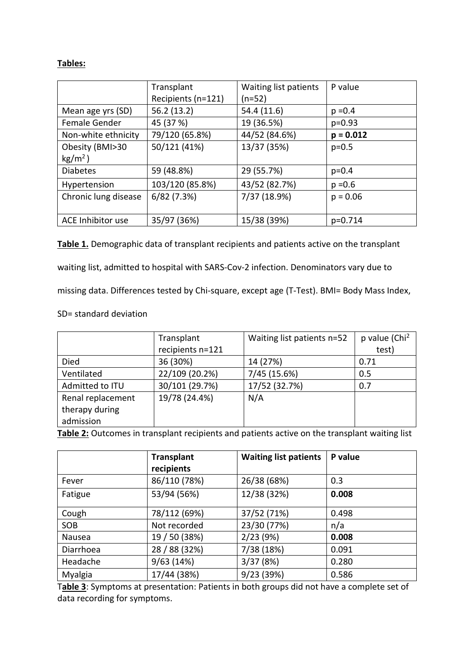# **Tables:**

|                      | Transplant         | Waiting list patients | P value     |
|----------------------|--------------------|-----------------------|-------------|
|                      | Recipients (n=121) | (n=52)                |             |
| Mean age yrs (SD)    | 56.2 (13.2)        | 54.4 (11.6)           | $p = 0.4$   |
| Female Gender        | 45 (37 %)          | 19 (36.5%)            | $p=0.93$    |
| Non-white ethnicity  | 79/120 (65.8%)     | 44/52 (84.6%)         | $p = 0.012$ |
| Obesity (BMI>30      | 50/121 (41%)       | 13/37 (35%)           | $p=0.5$     |
| $kg/m2$ )            |                    |                       |             |
| <b>Diabetes</b>      | 59 (48.8%)         | 29 (55.7%)            | $p = 0.4$   |
| Hypertension         | 103/120 (85.8%)    | 43/52 (82.7%)         | $p = 0.6$   |
| Chronic lung disease | 6/82(7.3%)         | 7/37 (18.9%)          | $p = 0.06$  |
|                      |                    |                       |             |
| ACE Inhibitor use    | 35/97 (36%)        | 15/38 (39%)           | p=0.714     |

**Table 1.** Demographic data of transplant recipients and patients active on the transplant waiting list, admitted to hospital with SARS-Cov-2 infection. Denominators vary due to missing data. Differences tested by Chi-square, except age (T-Test). BMI= Body Mass Index,

# SD= standard deviation

|                   | Transplant       | Waiting list patients n=52 | p value (Chi <sup>2</sup> |
|-------------------|------------------|----------------------------|---------------------------|
|                   | recipients n=121 |                            | test)                     |
| Died              | 36 (30%)         | 14 (27%)                   | 0.71                      |
| Ventilated        | 22/109 (20.2%)   | 7/45 (15.6%)               | 0.5                       |
| Admitted to ITU   | 30/101 (29.7%)   | 17/52 (32.7%)              | 0.7                       |
| Renal replacement | 19/78 (24.4%)    | N/A                        |                           |
| therapy during    |                  |                            |                           |
| admission         |                  |                            |                           |

**Table 2:** Outcomes in transplant recipients and patients active on the transplant waiting list

|           | <b>Transplant</b><br>recipients | <b>Waiting list patients</b> | P value |
|-----------|---------------------------------|------------------------------|---------|
| Fever     | 86/110 (78%)                    | 26/38 (68%)                  | 0.3     |
| Fatigue   | 53/94 (56%)                     | 12/38 (32%)                  | 0.008   |
| Cough     | 78/112 (69%)                    | 37/52 (71%)                  | 0.498   |
| SOB       | Not recorded                    | 23/30 (77%)                  | n/a     |
| Nausea    | 19 / 50 (38%)                   | 2/23(9%)                     | 0.008   |
| Diarrhoea | 28 / 88 (32%)                   | 7/38 (18%)                   | 0.091   |
| Headache  | 9/63(14%)                       | 3/37(8%)                     | 0.280   |
| Myalgia   | 17/44 (38%)                     | 9/23 (39%)                   | 0.586   |

T**able 3**: Symptoms at presentation: Patients in both groups did not have a complete set of data recording for symptoms.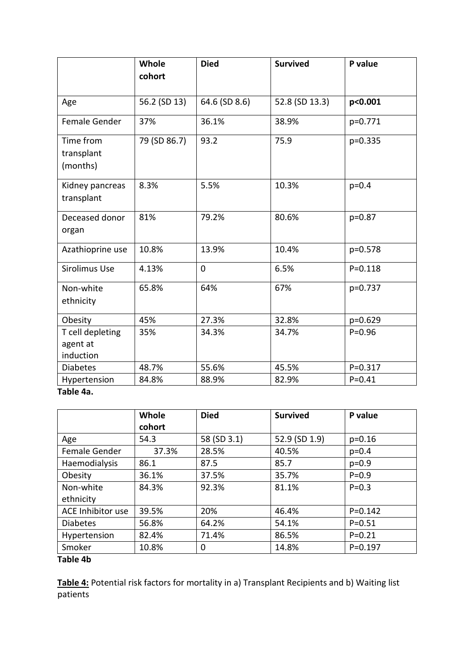|                                           | Whole<br>cohort | <b>Died</b>   | <b>Survived</b> | P value     |
|-------------------------------------------|-----------------|---------------|-----------------|-------------|
| Age                                       | 56.2 (SD 13)    | 64.6 (SD 8.6) | 52.8 (SD 13.3)  | p<0.001     |
| Female Gender                             | 37%             | 36.1%         | 38.9%           | p=0.771     |
| Time from<br>transplant<br>(months)       | 79 (SD 86.7)    | 93.2          | 75.9            | p=0.335     |
| Kidney pancreas<br>transplant             | 8.3%            | 5.5%          | 10.3%           | $p = 0.4$   |
| Deceased donor<br>organ                   | 81%             | 79.2%         | 80.6%           | $p=0.87$    |
| Azathioprine use                          | 10.8%           | 13.9%         | 10.4%           | p=0.578     |
| Sirolimus Use                             | 4.13%           | $\mathbf 0$   | 6.5%            | $P = 0.118$ |
| Non-white<br>ethnicity                    | 65.8%           | 64%           | 67%             | p=0.737     |
| Obesity                                   | 45%             | 27.3%         | 32.8%           | p=0.629     |
| T cell depleting<br>agent at<br>induction | 35%             | 34.3%         | 34.7%           | $P = 0.96$  |
| <b>Diabetes</b>                           | 48.7%           | 55.6%         | 45.5%           | $P = 0.317$ |
| Hypertension                              | 84.8%           | 88.9%         | 82.9%           | $P = 0.41$  |

**Table 4a.**

|                   | <b>Whole</b> | <b>Died</b> | <b>Survived</b> | P value     |
|-------------------|--------------|-------------|-----------------|-------------|
|                   | cohort       |             |                 |             |
| Age               | 54.3         | 58 (SD 3.1) | 52.9 (SD 1.9)   | $p=0.16$    |
| Female Gender     | 37.3%        | 28.5%       | 40.5%           | $p=0.4$     |
| Haemodialysis     | 86.1         | 87.5        | 85.7            | $p=0.9$     |
| Obesity           | 36.1%        | 37.5%       | 35.7%           | $P = 0.9$   |
| Non-white         | 84.3%        | 92.3%       | 81.1%           | $P = 0.3$   |
| ethnicity         |              |             |                 |             |
| ACE Inhibitor use | 39.5%        | 20%         | 46.4%           | $P = 0.142$ |
| <b>Diabetes</b>   | 56.8%        | 64.2%       | 54.1%           | $P = 0.51$  |
| Hypertension      | 82.4%        | 71.4%       | 86.5%           | $P = 0.21$  |
| Smoker            | 10.8%        | 0           | 14.8%           | $P = 0.197$ |

**Table 4b**

**Table 4:** Potential risk factors for mortality in a) Transplant Recipients and b) Waiting list patients